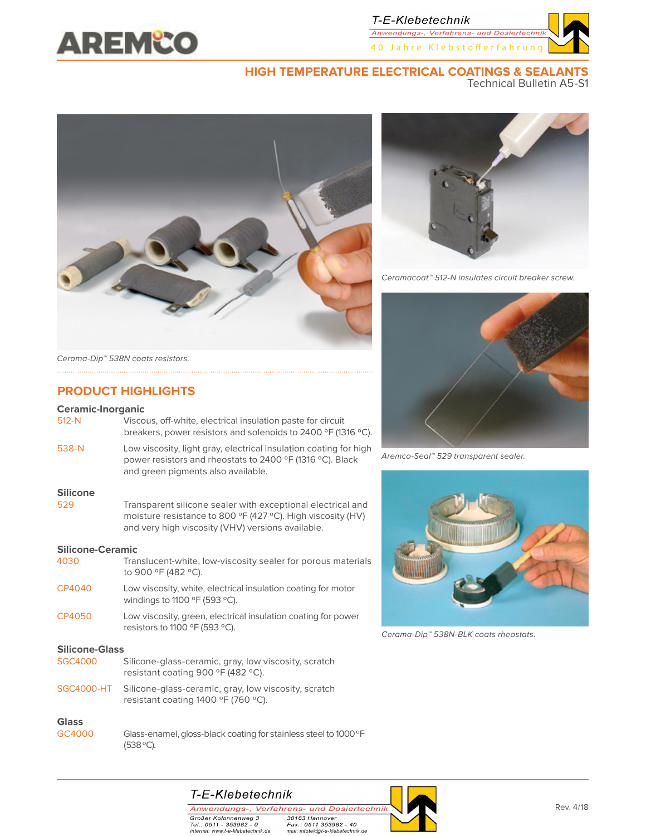

Anwendungs-, Verfahrens- und Do 40 Jahre Klebstofferfahrung

### **HIGH TEMPERATURE ELECTRICAL COATINGS & SEALANTS**

Technical Bulletin A5-S1





Ceramacoat™ 512-N insulates circuit breaker screw.



Aremco-Seal™ 529 transparent sealer.



Cerama-Dip™ 538N-BLK coats rheostats.

Cerama-Dip™ 538N coats resistors.

### **PRODUCT HIGHLIGHTS**

### **Ceramic-Inorganic**

| 512-N           | Viscous, off-white, electrical insulation paste for circuit<br>breakers, power resistors and solenoids to 2400 °F (1316 °C).                                                    |
|-----------------|---------------------------------------------------------------------------------------------------------------------------------------------------------------------------------|
| 538-N           | Low viscosity, light gray, electrical insulation coating for high<br>power resistors and rheostats to 2400 °F (1316 °C). Black<br>and green pigments also available.            |
| <b>Silicone</b> |                                                                                                                                                                                 |
| 529             | Transparent silicone sealer with exceptional electrical and<br>moisture resistance to 800 °F (427 °C). High viscosity (HV)<br>and very high viscosity (VHV) versions available. |

#### **Silicone-Ceramic**

| 4030                  | Translucent-white, low-viscosity sealer for porous materials<br>to 900 °F (482 °C).                    |  |  |  |  |  |  |
|-----------------------|--------------------------------------------------------------------------------------------------------|--|--|--|--|--|--|
| CP4040                | Low viscosity, white, electrical insulation coating for motor<br>windings to 1100 °F (593 °C).         |  |  |  |  |  |  |
| CP4050                | Low viscosity, green, electrical insulation coating for power<br>resistors to 1100 °F (593 °C).        |  |  |  |  |  |  |
| <b>Silicone-Glass</b> |                                                                                                        |  |  |  |  |  |  |
| <b>SGC4000</b>        | Silicone-glass-ceramic, gray, low viscosity, scratch<br>resistant coating 900 °F (482 °C).             |  |  |  |  |  |  |
|                       | SGC4000-HT Silicone-glass-ceramic, gray, low viscosity, scratch<br>resistant coating 1400 °F (760 °C). |  |  |  |  |  |  |
|                       |                                                                                                        |  |  |  |  |  |  |

# **Glass**

Glass-enamel, gloss-black coating for stainless steel to 1000 °F (538 ºC).



Anwendungs-, Verfahrens- und Dosiertechnik Großer Kolonnenweg 3<br>Tel.: 0511 - 353982 - 0<br>internet: www.t-e-klebetechnik.de

30163 Hannover So ros Harmover<br>Fax.: 0511 353982 - 40<br>mail: infotek@t-e-klebetechnik.de